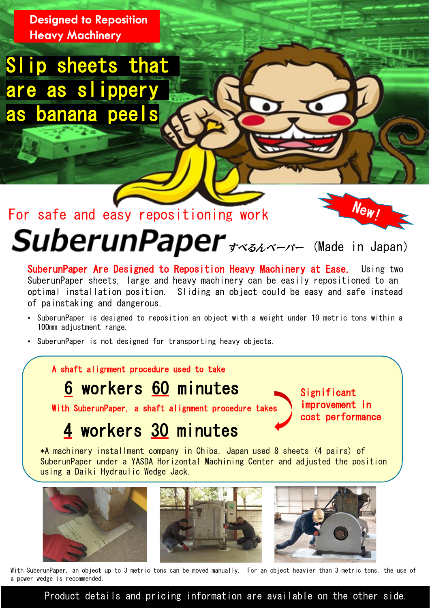Designed to Reposition Heavy Machinery

Slip sheets that are as slippery as banana peels

# New! For safe and easy repositioning work SuberunPaper **jvishvering** (Made in Japan)

SuberunPaper Are Designed to Reposition Heavy Machinery at Ease. Using two SuberunPaper sheets, large and heavy machinery can be easily repositioned to an optimal installation position. Sliding an object could be easy and safe instead of painstaking and dangerous.

- SuberunPaper is designed to reposition an object with a weight under 10 metric tons within a 100mm adjustment range.
- SuberunPaper is not designed for transporting heavy objects.

A shaft alignment procedure used to take

# 6 workers 60 minutes

**Significant** improvement in cost performance

With SuberunPaper, a shaft alignment procedure takes

# 4 workers 30 minutes

\*A machinery installment company in Chiba, Japan used 8 sheets (4 pairs) of SuberunPaper under a YASDA Horizontal Machining Center and adjusted the position using a Daiki Hydraulic Wedge Jack.







With SuberunPaper, an object up to 3 metric tons can be moved manually. For an object heavier than 3 metric tons, the use of a power wedge is recommended.

Product details and pricing information are available on the other side.